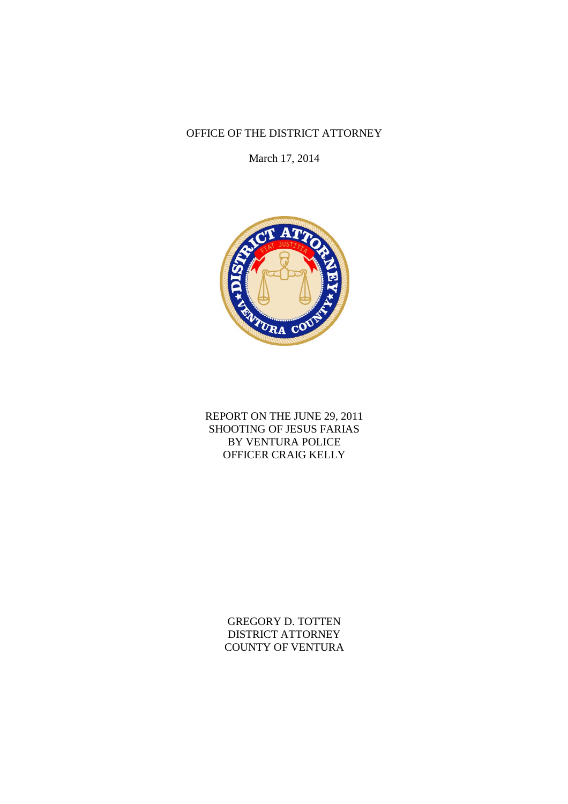# OFFICE OF THE DISTRICT ATTORNEY

March 17, 2014



# REPORT ON THE JUNE 29, 2011 SHOOTING OF JESUS FARIAS BY VENTURA POLICE OFFICER CRAIG KELLY

GREGORY D. TOTTEN DISTRICT ATTORNEY COUNTY OF VENTURA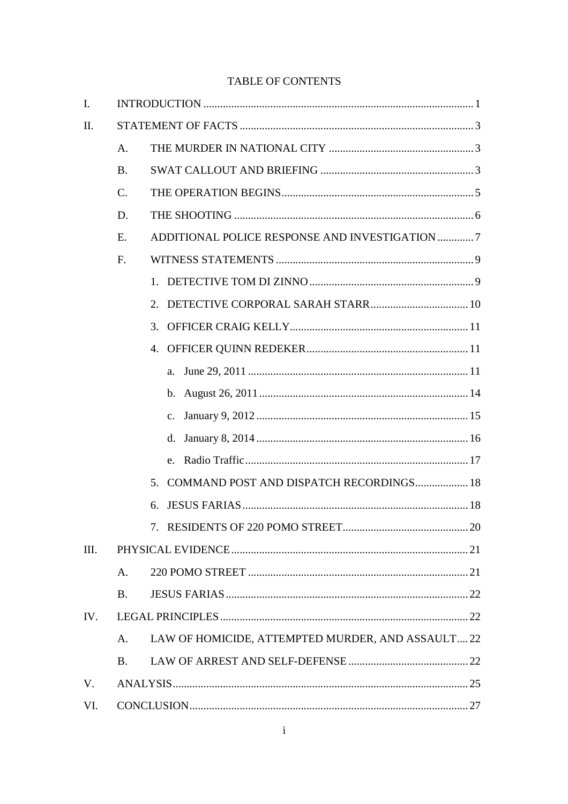# TABLE OF CONTENTS

| I.  |                 |                                                   |
|-----|-----------------|---------------------------------------------------|
| II. |                 |                                                   |
|     | A.              |                                                   |
|     | <b>B.</b>       |                                                   |
|     | $\mathcal{C}$ . |                                                   |
|     | D.              |                                                   |
|     | E.              | ADDITIONAL POLICE RESPONSE AND INVESTIGATION 7    |
|     | $F_{\cdot}$     |                                                   |
|     |                 |                                                   |
|     |                 | 2.                                                |
|     |                 | 3.                                                |
|     |                 | 4.                                                |
|     |                 | a.                                                |
|     |                 | $b_{-}$                                           |
|     |                 | $\mathbf{c}$ .                                    |
|     |                 | d.                                                |
|     |                 |                                                   |
|     |                 | COMMAND POST AND DISPATCH RECORDINGS 18<br>5.     |
|     |                 | б.                                                |
|     |                 |                                                   |
| Ш.  |                 |                                                   |
|     | A.              |                                                   |
|     | <b>B.</b>       |                                                   |
| IV. |                 |                                                   |
|     | A.              | LAW OF HOMICIDE, ATTEMPTED MURDER, AND ASSAULT 22 |
|     | <b>B.</b>       |                                                   |
| V.  |                 |                                                   |
| VI. |                 |                                                   |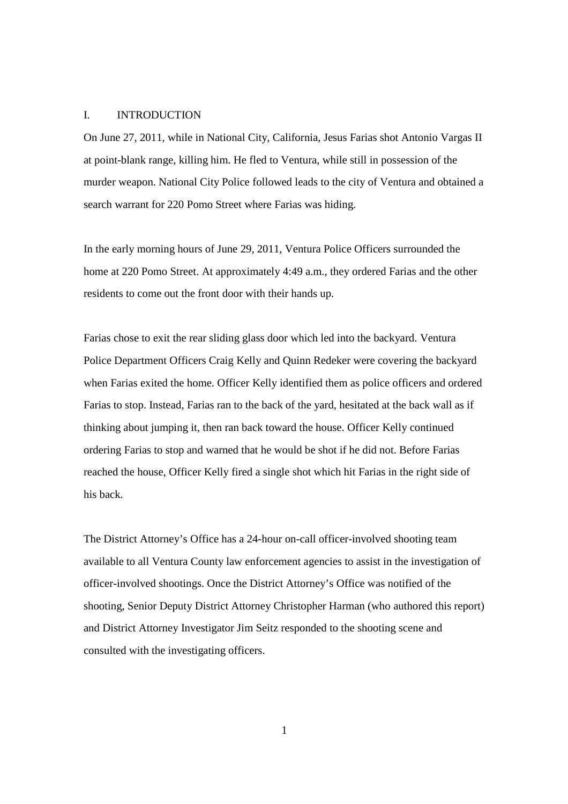#### I. INTRODUCTION

On June 27, 2011, while in National City, California, Jesus Farias shot Antonio Vargas II at point-blank range, killing him. He fled to Ventura, while still in possession of the murder weapon. National City Police followed leads to the city of Ventura and obtained a search warrant for 220 Pomo Street where Farias was hiding.

In the early morning hours of June 29, 2011, Ventura Police Officers surrounded the home at 220 Pomo Street. At approximately 4:49 a.m., they ordered Farias and the other residents to come out the front door with their hands up.

Farias chose to exit the rear sliding glass door which led into the backyard. Ventura Police Department Officers Craig Kelly and Quinn Redeker were covering the backyard when Farias exited the home. Officer Kelly identified them as police officers and ordered Farias to stop. Instead, Farias ran to the back of the yard, hesitated at the back wall as if thinking about jumping it, then ran back toward the house. Officer Kelly continued ordering Farias to stop and warned that he would be shot if he did not. Before Farias reached the house, Officer Kelly fired a single shot which hit Farias in the right side of his back.

The District Attorney's Office has a 24-hour on-call officer-involved shooting team available to all Ventura County law enforcement agencies to assist in the investigation of officer-involved shootings. Once the District Attorney's Office was notified of the shooting, Senior Deputy District Attorney Christopher Harman (who authored this report) and District Attorney Investigator Jim Seitz responded to the shooting scene and consulted with the investigating officers.

1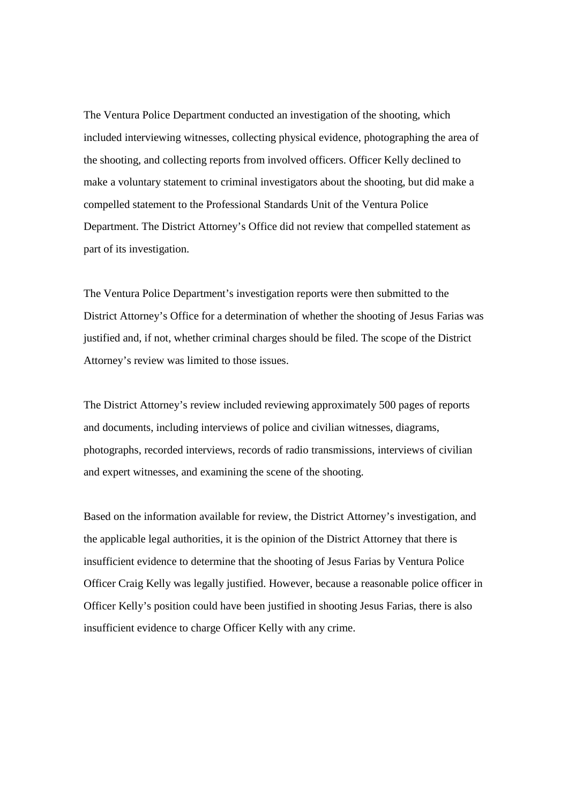The Ventura Police Department conducted an investigation of the shooting, which included interviewing witnesses, collecting physical evidence, photographing the area of the shooting, and collecting reports from involved officers. Officer Kelly declined to make a voluntary statement to criminal investigators about the shooting, but did make a compelled statement to the Professional Standards Unit of the Ventura Police Department. The District Attorney's Office did not review that compelled statement as part of its investigation.

The Ventura Police Department's investigation reports were then submitted to the District Attorney's Office for a determination of whether the shooting of Jesus Farias was justified and, if not, whether criminal charges should be filed. The scope of the District Attorney's review was limited to those issues.

The District Attorney's review included reviewing approximately 500 pages of reports and documents, including interviews of police and civilian witnesses, diagrams, photographs, recorded interviews, records of radio transmissions, interviews of civilian and expert witnesses, and examining the scene of the shooting.

Based on the information available for review, the District Attorney's investigation, and the applicable legal authorities, it is the opinion of the District Attorney that there is insufficient evidence to determine that the shooting of Jesus Farias by Ventura Police Officer Craig Kelly was legally justified. However, because a reasonable police officer in Officer Kelly's position could have been justified in shooting Jesus Farias, there is also insufficient evidence to charge Officer Kelly with any crime.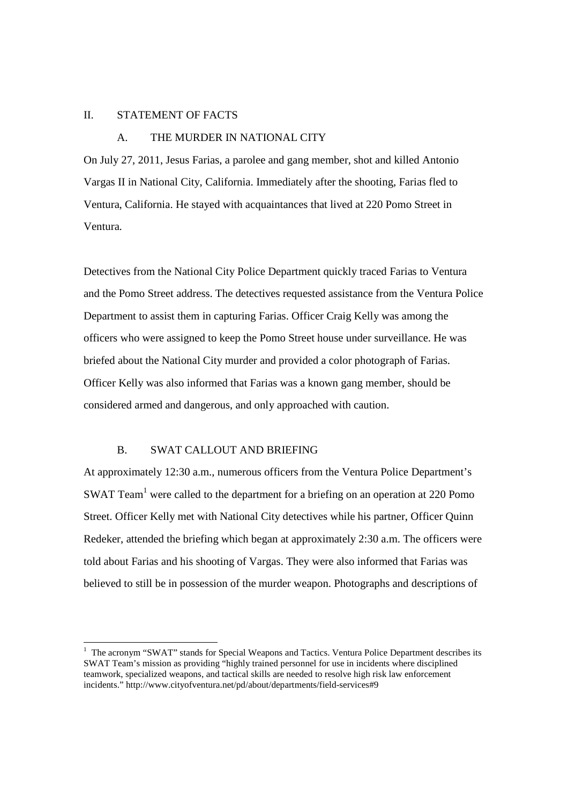### II. STATEMENT OF FACTS

### A. THE MURDER IN NATIONAL CITY

On July 27, 2011, Jesus Farias, a parolee and gang member, shot and killed Antonio Vargas II in National City, California. Immediately after the shooting, Farias fled to Ventura, California. He stayed with acquaintances that lived at 220 Pomo Street in Ventura.

Detectives from the National City Police Department quickly traced Farias to Ventura and the Pomo Street address. The detectives requested assistance from the Ventura Police Department to assist them in capturing Farias. Officer Craig Kelly was among the officers who were assigned to keep the Pomo Street house under surveillance. He was briefed about the National City murder and provided a color photograph of Farias. Officer Kelly was also informed that Farias was a known gang member, should be considered armed and dangerous, and only approached with caution.

## B. SWAT CALLOUT AND BRIEFING

At approximately 12:30 a.m., numerous officers from the Ventura Police Department's SWAT Team<sup>1</sup> were called to the department for a briefing on an operation at 220 Pomo Street. Officer Kelly met with National City detectives while his partner, Officer Quinn Redeker, attended the briefing which began at approximately 2:30 a.m. The officers were told about Farias and his shooting of Vargas. They were also informed that Farias was believed to still be in possession of the murder weapon. Photographs and descriptions of

<sup>&</sup>lt;sup>1</sup> The acronym "SWAT" stands for Special Weapons and Tactics. Ventura Police Department describes its SWAT Team's mission as providing "highly trained personnel for use in incidents where disciplined teamwork, specialized weapons, and tactical skills are needed to resolve high risk law enforcement incidents." http://www.cityofventura.net/pd/about/departments/field-services#9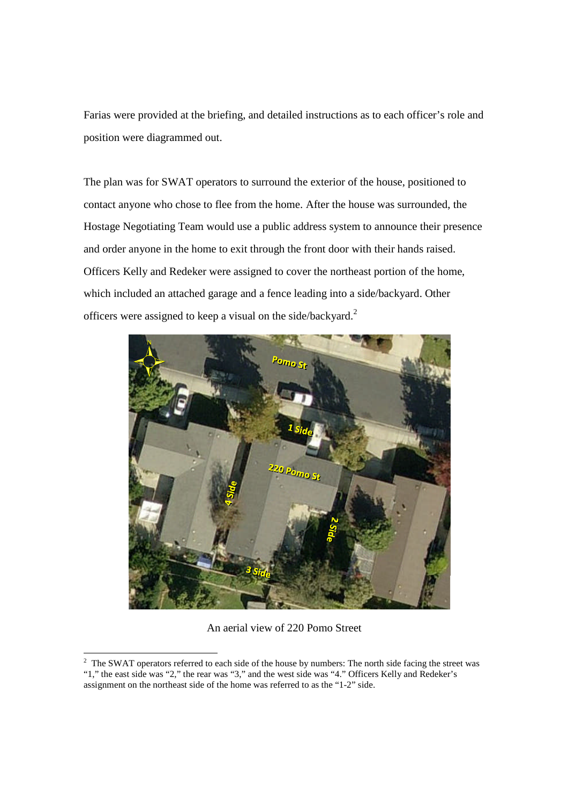Farias were provided at the briefing, and detailed instructions as to each officer's role and position were diagrammed out.

The plan was for SWAT operators to surround the exterior of the house, positioned to contact anyone who chose to flee from the home. After the house was surrounded, the Hostage Negotiating Team would use a public address system to announce their presence and order anyone in the home to exit through the front door with their hands raised. Officers Kelly and Redeker were assigned to cover the northeast portion of the home, which included an attached garage and a fence leading into a side/backyard. Other officers were assigned to keep a visual on the side/backyard.<sup>2</sup>



An aerial view of 220 Pomo Street

<sup>&</sup>lt;sup>2</sup> The SWAT operators referred to each side of the house by numbers: The north side facing the street was "1," the east side was "2," the rear was "3," and the west side was "4." Officers Kelly and Redeker's assignment on the northeast side of the home was referred to as the "1-2" side.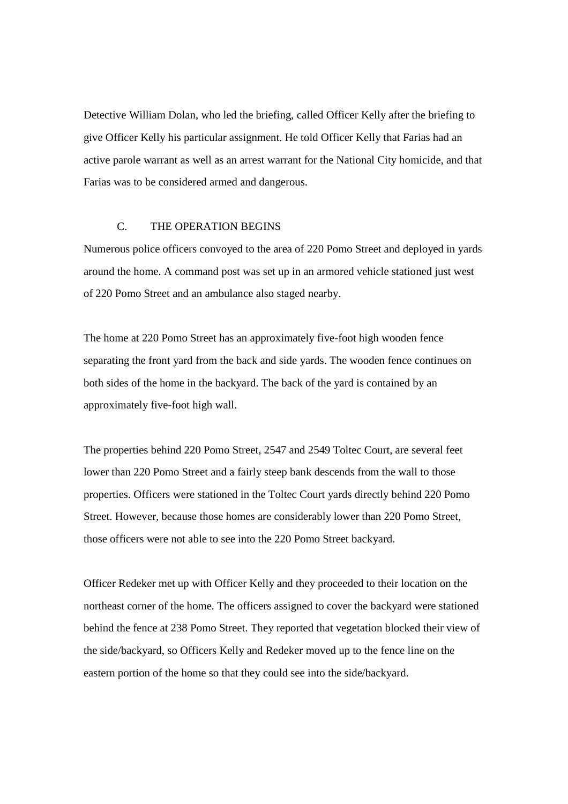Detective William Dolan, who led the briefing, called Officer Kelly after the briefing to give Officer Kelly his particular assignment. He told Officer Kelly that Farias had an active parole warrant as well as an arrest warrant for the National City homicide, and that Farias was to be considered armed and dangerous.

### C. THE OPERATION BEGINS

Numerous police officers convoyed to the area of 220 Pomo Street and deployed in yards around the home. A command post was set up in an armored vehicle stationed just west of 220 Pomo Street and an ambulance also staged nearby.

The home at 220 Pomo Street has an approximately five-foot high wooden fence separating the front yard from the back and side yards. The wooden fence continues on both sides of the home in the backyard. The back of the yard is contained by an approximately five-foot high wall.

The properties behind 220 Pomo Street, 2547 and 2549 Toltec Court, are several feet lower than 220 Pomo Street and a fairly steep bank descends from the wall to those properties. Officers were stationed in the Toltec Court yards directly behind 220 Pomo Street. However, because those homes are considerably lower than 220 Pomo Street, those officers were not able to see into the 220 Pomo Street backyard.

Officer Redeker met up with Officer Kelly and they proceeded to their location on the northeast corner of the home. The officers assigned to cover the backyard were stationed behind the fence at 238 Pomo Street. They reported that vegetation blocked their view of the side/backyard, so Officers Kelly and Redeker moved up to the fence line on the eastern portion of the home so that they could see into the side/backyard.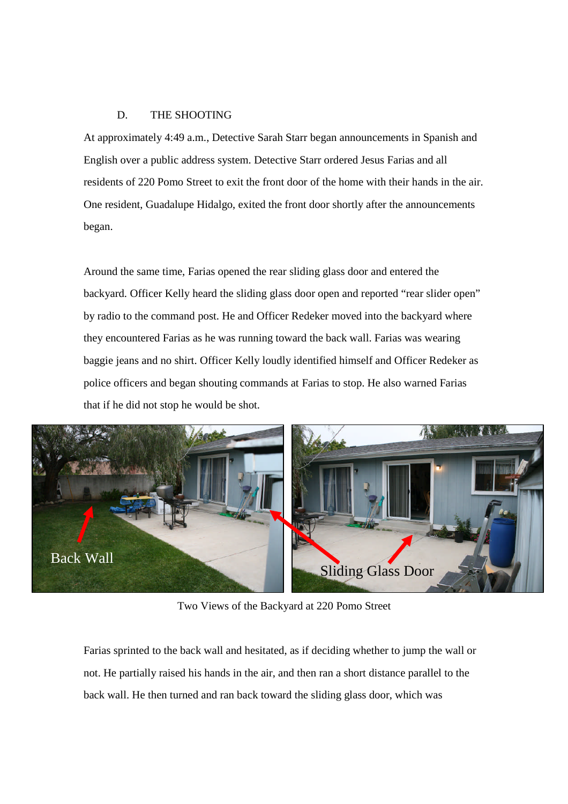### D. THE SHOOTING

At approximately 4:49 a.m., Detective Sarah Starr began announcements in Spanish and English over a public address system. Detective Starr ordered Jesus Farias and all residents of 220 Pomo Street to exit the front door of the home with their hands in the air. One resident, Guadalupe Hidalgo, exited the front door shortly after the announcements began.

Around the same time, Farias opened the rear sliding glass door and entered the backyard. Officer Kelly heard the sliding glass door open and reported "rear slider open" by radio to the command post. He and Officer Redeker moved into the backyard where they encountered Farias as he was running toward the back wall. Farias was wearing baggie jeans and no shirt. Officer Kelly loudly identified himself and Officer Redeker as police officers and began shouting commands at Farias to stop. He also warned Farias that if he did not stop he would be shot.



Two Views of the Backyard at 220 Pomo Street

Farias sprinted to the back wall and hesitated, as if deciding whether to jump the wall or not. He partially raised his hands in the air, and then ran a short distance parallel to the back wall. He then turned and ran back toward the sliding glass door, which was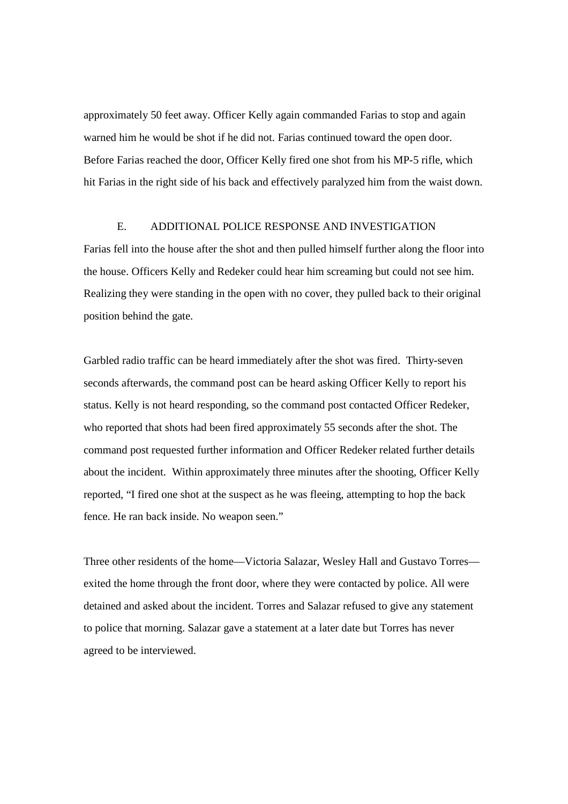approximately 50 feet away. Officer Kelly again commanded Farias to stop and again warned him he would be shot if he did not. Farias continued toward the open door. Before Farias reached the door, Officer Kelly fired one shot from his MP-5 rifle, which hit Farias in the right side of his back and effectively paralyzed him from the waist down.

### E. ADDITIONAL POLICE RESPONSE AND INVESTIGATION

Farias fell into the house after the shot and then pulled himself further along the floor into the house. Officers Kelly and Redeker could hear him screaming but could not see him. Realizing they were standing in the open with no cover, they pulled back to their original position behind the gate.

Garbled radio traffic can be heard immediately after the shot was fired. Thirty-seven seconds afterwards, the command post can be heard asking Officer Kelly to report his status. Kelly is not heard responding, so the command post contacted Officer Redeker, who reported that shots had been fired approximately 55 seconds after the shot. The command post requested further information and Officer Redeker related further details about the incident. Within approximately three minutes after the shooting, Officer Kelly reported, "I fired one shot at the suspect as he was fleeing, attempting to hop the back fence. He ran back inside. No weapon seen."

Three other residents of the home—Victoria Salazar, Wesley Hall and Gustavo Torres exited the home through the front door, where they were contacted by police. All were detained and asked about the incident. Torres and Salazar refused to give any statement to police that morning. Salazar gave a statement at a later date but Torres has never agreed to be interviewed.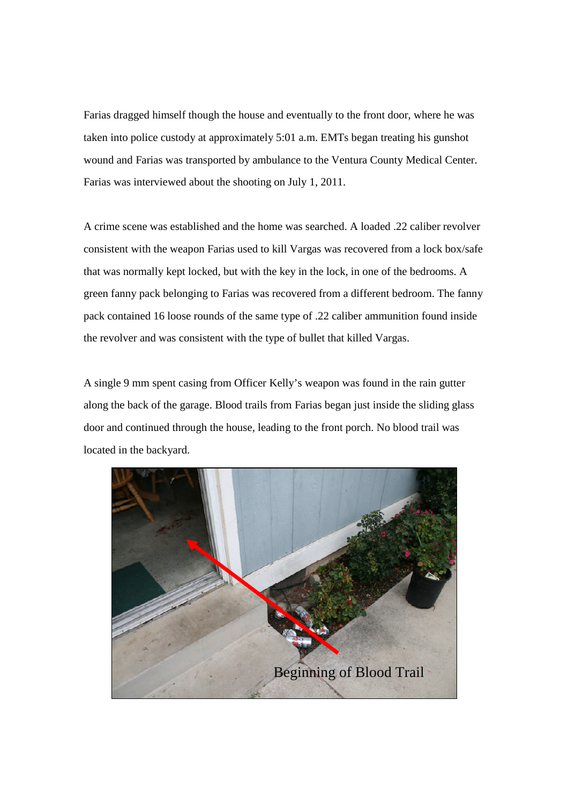Farias dragged himself though the house and eventually to the front door, where he was taken into police custody at approximately 5:01 a.m. EMTs began treating his gunshot wound and Farias was transported by ambulance to the Ventura County Medical Center. Farias was interviewed about the shooting on July 1, 2011.

A crime scene was established and the home was searched. A loaded .22 caliber revolver consistent with the weapon Farias used to kill Vargas was recovered from a lock box/safe that was normally kept locked, but with the key in the lock, in one of the bedrooms. A green fanny pack belonging to Farias was recovered from a different bedroom. The fanny pack contained 16 loose rounds of the same type of .22 caliber ammunition found inside the revolver and was consistent with the type of bullet that killed Vargas.

A single 9 mm spent casing from Officer Kelly's weapon was found in the rain gutter along the back of the garage. Blood trails from Farias began just inside the sliding glass door and continued through the house, leading to the front porch. No blood trail was located in the backyard.

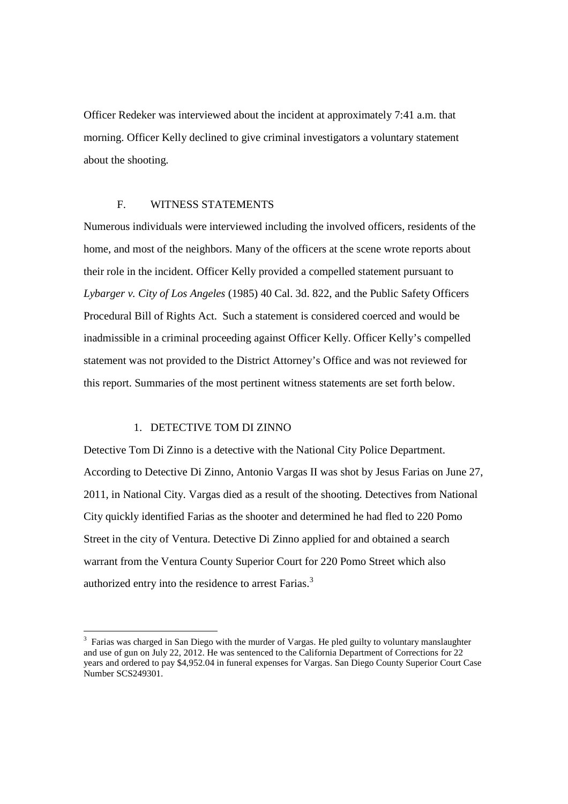Officer Redeker was interviewed about the incident at approximately 7:41 a.m. that morning. Officer Kelly declined to give criminal investigators a voluntary statement about the shooting.

### F. WITNESS STATEMENTS

Numerous individuals were interviewed including the involved officers, residents of the home, and most of the neighbors. Many of the officers at the scene wrote reports about their role in the incident. Officer Kelly provided a compelled statement pursuant to *Lybarger v. City of Los Angeles* (1985) 40 Cal. 3d. 822, and the Public Safety Officers Procedural Bill of Rights Act. Such a statement is considered coerced and would be inadmissible in a criminal proceeding against Officer Kelly. Officer Kelly's compelled statement was not provided to the District Attorney's Office and was not reviewed for this report. Summaries of the most pertinent witness statements are set forth below.

# 1. DETECTIVE TOM DI ZINNO

Detective Tom Di Zinno is a detective with the National City Police Department. According to Detective Di Zinno, Antonio Vargas II was shot by Jesus Farias on June 27, 2011, in National City. Vargas died as a result of the shooting. Detectives from National City quickly identified Farias as the shooter and determined he had fled to 220 Pomo Street in the city of Ventura. Detective Di Zinno applied for and obtained a search warrant from the Ventura County Superior Court for 220 Pomo Street which also authorized entry into the residence to arrest Farias.<sup>3</sup>

<sup>&</sup>lt;sup>3</sup> Farias was charged in San Diego with the murder of Vargas. He pled guilty to voluntary manslaughter and use of gun on July 22, 2012. He was sentenced to the California Department of Corrections for 22 years and ordered to pay \$4,952.04 in funeral expenses for Vargas. San Diego County Superior Court Case .<br>Number SCS249301.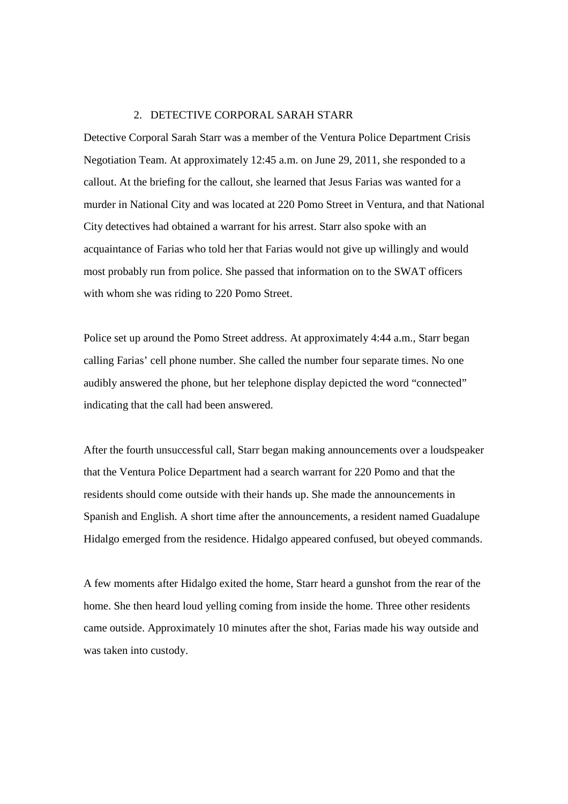#### 2. DETECTIVE CORPORAL SARAH STARR

Detective Corporal Sarah Starr was a member of the Ventura Police Department Crisis Negotiation Team. At approximately 12:45 a.m. on June 29, 2011, she responded to a callout. At the briefing for the callout, she learned that Jesus Farias was wanted for a murder in National City and was located at 220 Pomo Street in Ventura, and that National City detectives had obtained a warrant for his arrest. Starr also spoke with an acquaintance of Farias who told her that Farias would not give up willingly and would most probably run from police. She passed that information on to the SWAT officers with whom she was riding to 220 Pomo Street.

Police set up around the Pomo Street address. At approximately 4:44 a.m., Starr began calling Farias' cell phone number. She called the number four separate times. No one audibly answered the phone, but her telephone display depicted the word "connected" indicating that the call had been answered.

After the fourth unsuccessful call, Starr began making announcements over a loudspeaker that the Ventura Police Department had a search warrant for 220 Pomo and that the residents should come outside with their hands up. She made the announcements in Spanish and English. A short time after the announcements, a resident named Guadalupe Hidalgo emerged from the residence. Hidalgo appeared confused, but obeyed commands.

A few moments after Hidalgo exited the home, Starr heard a gunshot from the rear of the home. She then heard loud yelling coming from inside the home. Three other residents came outside. Approximately 10 minutes after the shot, Farias made his way outside and was taken into custody.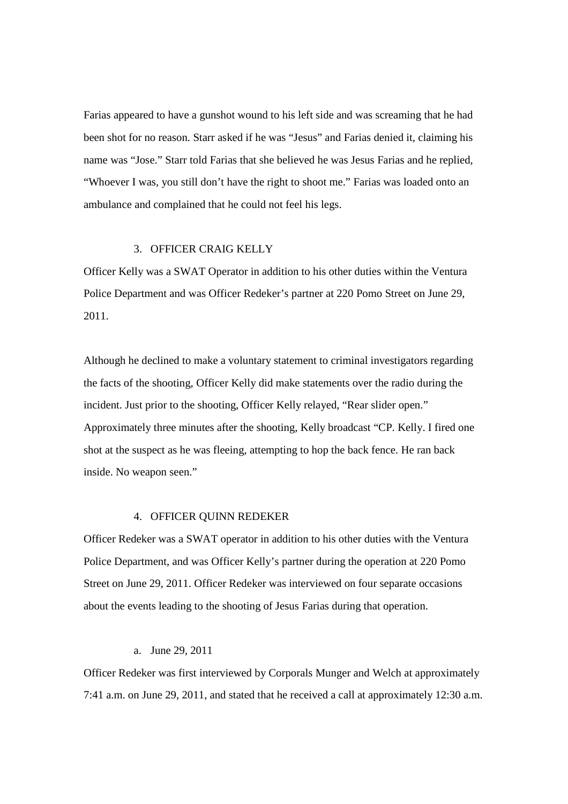Farias appeared to have a gunshot wound to his left side and was screaming that he had been shot for no reason. Starr asked if he was "Jesus" and Farias denied it, claiming his name was "Jose." Starr told Farias that she believed he was Jesus Farias and he replied, "Whoever I was, you still don't have the right to shoot me." Farias was loaded onto an ambulance and complained that he could not feel his legs.

#### 3. OFFICER CRAIG KELLY

Officer Kelly was a SWAT Operator in addition to his other duties within the Ventura Police Department and was Officer Redeker's partner at 220 Pomo Street on June 29, 2011.

Although he declined to make a voluntary statement to criminal investigators regarding the facts of the shooting, Officer Kelly did make statements over the radio during the incident. Just prior to the shooting, Officer Kelly relayed, "Rear slider open." Approximately three minutes after the shooting, Kelly broadcast "CP. Kelly. I fired one shot at the suspect as he was fleeing, attempting to hop the back fence. He ran back inside. No weapon seen."

#### 4. OFFICER QUINN REDEKER

Officer Redeker was a SWAT operator in addition to his other duties with the Ventura Police Department, and was Officer Kelly's partner during the operation at 220 Pomo Street on June 29, 2011. Officer Redeker was interviewed on four separate occasions about the events leading to the shooting of Jesus Farias during that operation.

#### a. June 29, 2011

Officer Redeker was first interviewed by Corporals Munger and Welch at approximately 7:41 a.m. on June 29, 2011, and stated that he received a call at approximately 12:30 a.m.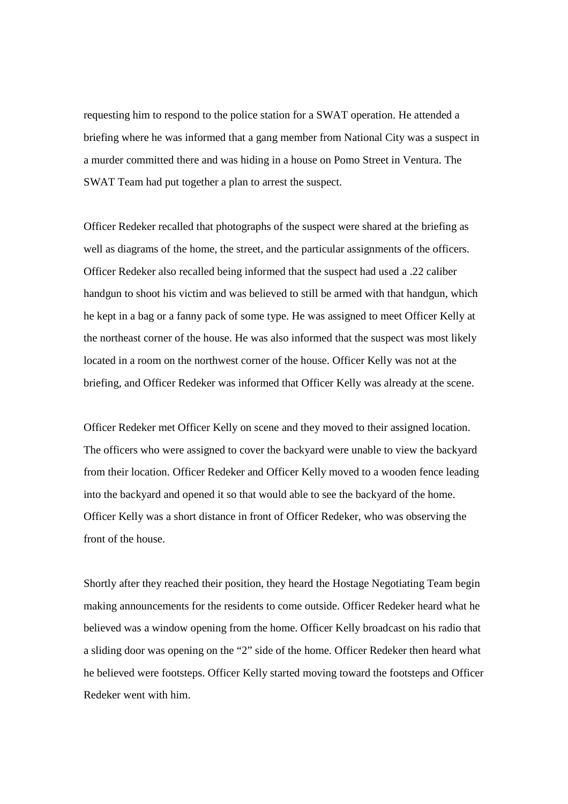requesting him to respond to the police station for a SWAT operation. He attended a briefing where he was informed that a gang member from National City was a suspect in a murder committed there and was hiding in a house on Pomo Street in Ventura. The SWAT Team had put together a plan to arrest the suspect.

Officer Redeker recalled that photographs of the suspect were shared at the briefing as well as diagrams of the home, the street, and the particular assignments of the officers. Officer Redeker also recalled being informed that the suspect had used a .22 caliber handgun to shoot his victim and was believed to still be armed with that handgun, which he kept in a bag or a fanny pack of some type. He was assigned to meet Officer Kelly at the northeast corner of the house. He was also informed that the suspect was most likely located in a room on the northwest corner of the house. Officer Kelly was not at the briefing, and Officer Redeker was informed that Officer Kelly was already at the scene.

Officer Redeker met Officer Kelly on scene and they moved to their assigned location. The officers who were assigned to cover the backyard were unable to view the backyard from their location. Officer Redeker and Officer Kelly moved to a wooden fence leading into the backyard and opened it so that would able to see the backyard of the home. Officer Kelly was a short distance in front of Officer Redeker, who was observing the front of the house.

Shortly after they reached their position, they heard the Hostage Negotiating Team begin making announcements for the residents to come outside. Officer Redeker heard what he believed was a window opening from the home. Officer Kelly broadcast on his radio that a sliding door was opening on the "2" side of the home. Officer Redeker then heard what he believed were footsteps. Officer Kelly started moving toward the footsteps and Officer Redeker went with him.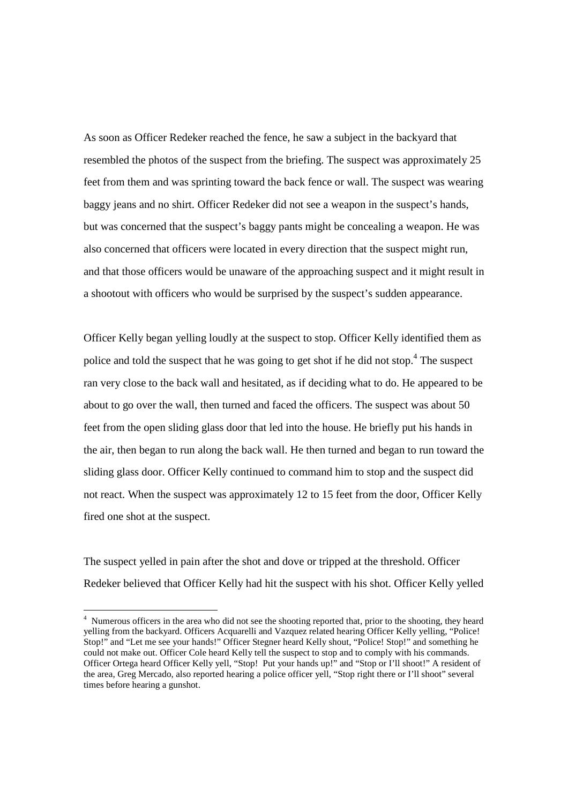As soon as Officer Redeker reached the fence, he saw a subject in the backyard that resembled the photos of the suspect from the briefing. The suspect was approximately 25 feet from them and was sprinting toward the back fence or wall. The suspect was wearing baggy jeans and no shirt. Officer Redeker did not see a weapon in the suspect's hands, but was concerned that the suspect's baggy pants might be concealing a weapon. He was also concerned that officers were located in every direction that the suspect might run, and that those officers would be unaware of the approaching suspect and it might result in a shootout with officers who would be surprised by the suspect's sudden appearance.

Officer Kelly began yelling loudly at the suspect to stop. Officer Kelly identified them as police and told the suspect that he was going to get shot if he did not stop.<sup>4</sup> The suspect ran very close to the back wall and hesitated, as if deciding what to do. He appeared to be about to go over the wall, then turned and faced the officers. The suspect was about 50 feet from the open sliding glass door that led into the house. He briefly put his hands in the air, then began to run along the back wall. He then turned and began to run toward the sliding glass door. Officer Kelly continued to command him to stop and the suspect did not react. When the suspect was approximately 12 to 15 feet from the door, Officer Kelly fired one shot at the suspect.

The suspect yelled in pain after the shot and dove or tripped at the threshold. Officer Redeker believed that Officer Kelly had hit the suspect with his shot. Officer Kelly yelled

<sup>&</sup>lt;sup>4</sup> Numerous officers in the area who did not see the shooting reported that, prior to the shooting, they heard yelling from the backyard. Officers Acquarelli and Vazquez related hearing Officer Kelly yelling, "Police! Stop!" and "Let me see your hands!" Officer Stegner heard Kelly shout, "Police! Stop!" and something he could not make out. Officer Cole heard Kelly tell the suspect to stop and to comply with his commands. Officer Ortega heard Officer Kelly yell, "Stop! Put your hands up!" and "Stop or I'll shoot!" A resident of the area, Greg Mercado, also reported hearing a police officer yell, "Stop right there or I'll shoot" several times before hearing a gunshot.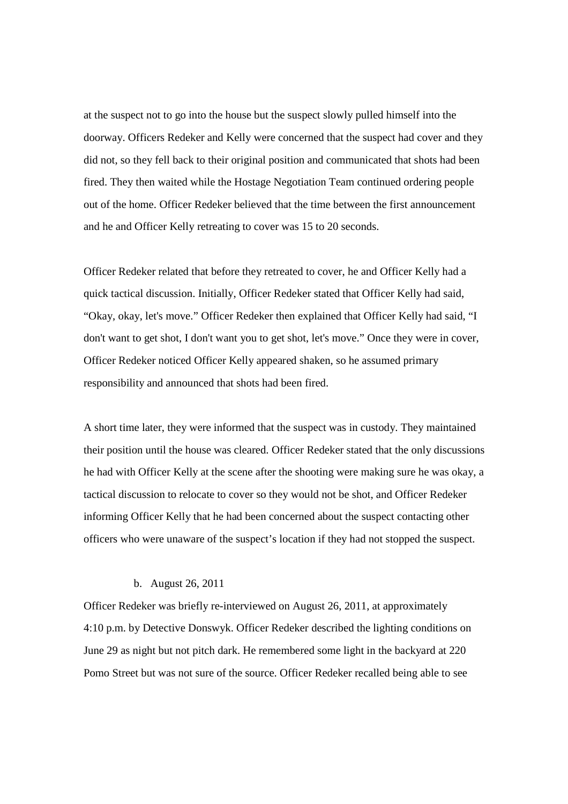at the suspect not to go into the house but the suspect slowly pulled himself into the doorway. Officers Redeker and Kelly were concerned that the suspect had cover and they did not, so they fell back to their original position and communicated that shots had been fired. They then waited while the Hostage Negotiation Team continued ordering people out of the home. Officer Redeker believed that the time between the first announcement and he and Officer Kelly retreating to cover was 15 to 20 seconds.

Officer Redeker related that before they retreated to cover, he and Officer Kelly had a quick tactical discussion. Initially, Officer Redeker stated that Officer Kelly had said, "Okay, okay, let's move." Officer Redeker then explained that Officer Kelly had said, "I don't want to get shot, I don't want you to get shot, let's move." Once they were in cover, Officer Redeker noticed Officer Kelly appeared shaken, so he assumed primary responsibility and announced that shots had been fired.

A short time later, they were informed that the suspect was in custody. They maintained their position until the house was cleared. Officer Redeker stated that the only discussions he had with Officer Kelly at the scene after the shooting were making sure he was okay, a tactical discussion to relocate to cover so they would not be shot, and Officer Redeker informing Officer Kelly that he had been concerned about the suspect contacting other officers who were unaware of the suspect's location if they had not stopped the suspect.

#### b. August 26, 2011

Officer Redeker was briefly re-interviewed on August 26, 2011, at approximately 4:10 p.m. by Detective Donswyk. Officer Redeker described the lighting conditions on June 29 as night but not pitch dark. He remembered some light in the backyard at 220 Pomo Street but was not sure of the source. Officer Redeker recalled being able to see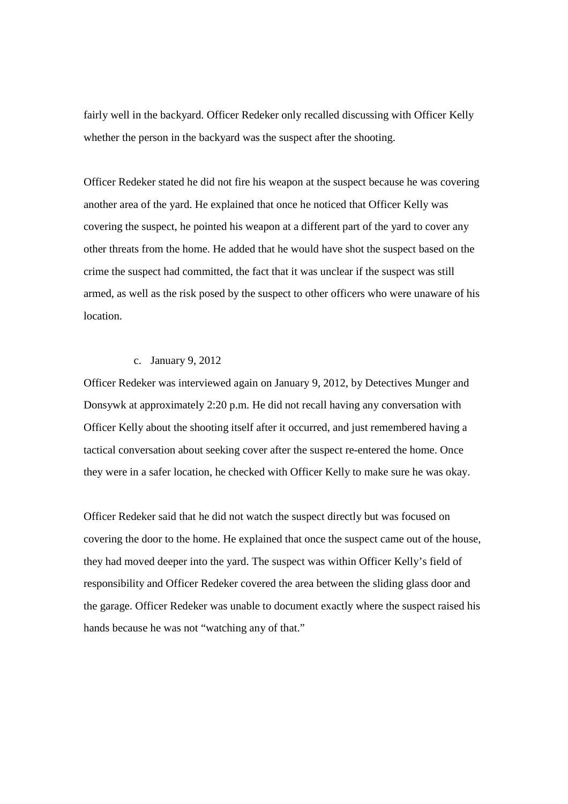fairly well in the backyard. Officer Redeker only recalled discussing with Officer Kelly whether the person in the backyard was the suspect after the shooting.

Officer Redeker stated he did not fire his weapon at the suspect because he was covering another area of the yard. He explained that once he noticed that Officer Kelly was covering the suspect, he pointed his weapon at a different part of the yard to cover any other threats from the home. He added that he would have shot the suspect based on the crime the suspect had committed, the fact that it was unclear if the suspect was still armed, as well as the risk posed by the suspect to other officers who were unaware of his location.

### c. January 9, 2012

Officer Redeker was interviewed again on January 9, 2012, by Detectives Munger and Donsywk at approximately 2:20 p.m. He did not recall having any conversation with Officer Kelly about the shooting itself after it occurred, and just remembered having a tactical conversation about seeking cover after the suspect re-entered the home. Once they were in a safer location, he checked with Officer Kelly to make sure he was okay.

Officer Redeker said that he did not watch the suspect directly but was focused on covering the door to the home. He explained that once the suspect came out of the house, they had moved deeper into the yard. The suspect was within Officer Kelly's field of responsibility and Officer Redeker covered the area between the sliding glass door and the garage. Officer Redeker was unable to document exactly where the suspect raised his hands because he was not "watching any of that."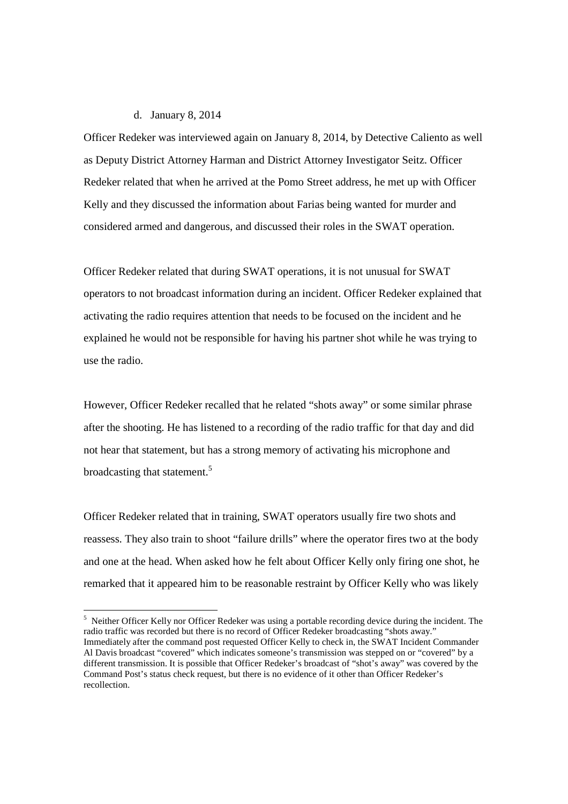### d. January 8, 2014

Officer Redeker was interviewed again on January 8, 2014, by Detective Caliento as well as Deputy District Attorney Harman and District Attorney Investigator Seitz. Officer Redeker related that when he arrived at the Pomo Street address, he met up with Officer Kelly and they discussed the information about Farias being wanted for murder and considered armed and dangerous, and discussed their roles in the SWAT operation.

Officer Redeker related that during SWAT operations, it is not unusual for SWAT operators to not broadcast information during an incident. Officer Redeker explained that activating the radio requires attention that needs to be focused on the incident and he explained he would not be responsible for having his partner shot while he was trying to use the radio.

However, Officer Redeker recalled that he related "shots away" or some similar phrase after the shooting. He has listened to a recording of the radio traffic for that day and did not hear that statement, but has a strong memory of activating his microphone and broadcasting that statement.<sup>5</sup>

Officer Redeker related that in training, SWAT operators usually fire two shots and reassess. They also train to shoot "failure drills" where the operator fires two at the body and one at the head. When asked how he felt about Officer Kelly only firing one shot, he remarked that it appeared him to be reasonable restraint by Officer Kelly who was likely

 $<sup>5</sup>$  Neither Officer Kelly nor Officer Redeker was using a portable recording device during the incident. The</sup> radio traffic was recorded but there is no record of Officer Redeker broadcasting "shots away." Immediately after the command post requested Officer Kelly to check in, the SWAT Incident Commander Al Davis broadcast "covered" which indicates someone's transmission was stepped on or "covered" by a different transmission. It is possible that Officer Redeker's broadcast of "shot's away" was covered by the Command Post's status check request, but there is no evidence of it other than Officer Redeker's recollection.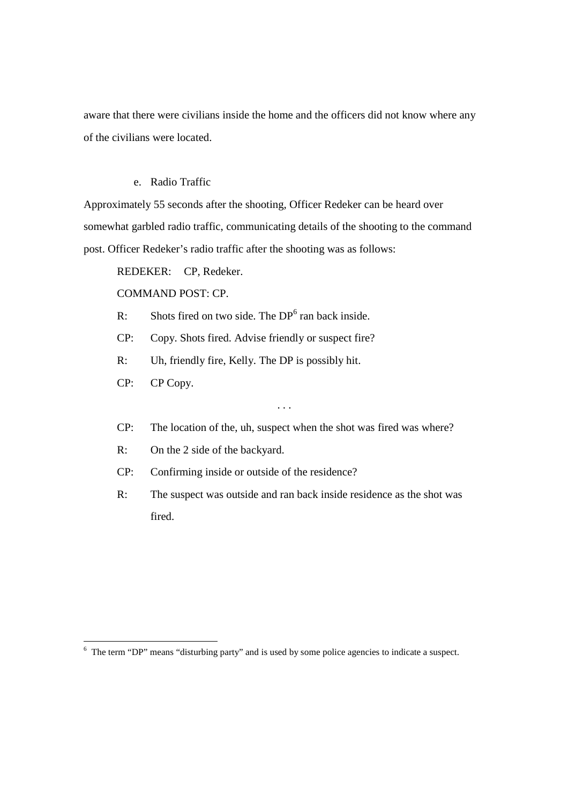aware that there were civilians inside the home and the officers did not know where any of the civilians were located.

# e. Radio Traffic

Approximately 55 seconds after the shooting, Officer Redeker can be heard over somewhat garbled radio traffic, communicating details of the shooting to the command post. Officer Redeker's radio traffic after the shooting was as follows:

REDEKER: CP, Redeker.

COMMAND POST: CP.

- R: Shots fired on two side. The  $DP<sup>6</sup>$  ran back inside.
- CP: Copy. Shots fired. Advise friendly or suspect fire?
- R: Uh, friendly fire, Kelly. The DP is possibly hit.
- CP: CP Copy.
- CP: The location of the, uh, suspect when the shot was fired was where?

. . .

- R: On the 2 side of the backyard.
- CP: Confirming inside or outside of the residence?
- R: The suspect was outside and ran back inside residence as the shot was fired.

<sup>6</sup> The term "DP" means "disturbing party" and is used by some police agencies to indicate a suspect.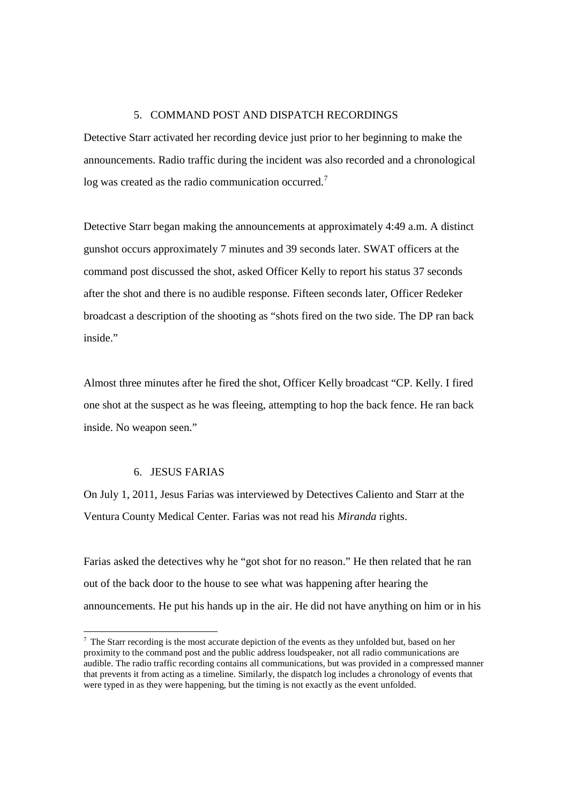### 5. COMMAND POST AND DISPATCH RECORDINGS

Detective Starr activated her recording device just prior to her beginning to make the announcements. Radio traffic during the incident was also recorded and a chronological log was created as the radio communication occurred.<sup>7</sup>

Detective Starr began making the announcements at approximately 4:49 a.m. A distinct gunshot occurs approximately 7 minutes and 39 seconds later. SWAT officers at the command post discussed the shot, asked Officer Kelly to report his status 37 seconds after the shot and there is no audible response. Fifteen seconds later, Officer Redeker broadcast a description of the shooting as "shots fired on the two side. The DP ran back inside."

Almost three minutes after he fired the shot, Officer Kelly broadcast "CP. Kelly. I fired one shot at the suspect as he was fleeing, attempting to hop the back fence. He ran back inside. No weapon seen."

### 6. JESUS FARIAS

On July 1, 2011, Jesus Farias was interviewed by Detectives Caliento and Starr at the Ventura County Medical Center. Farias was not read his *Miranda* rights.

Farias asked the detectives why he "got shot for no reason." He then related that he ran out of the back door to the house to see what was happening after hearing the announcements. He put his hands up in the air. He did not have anything on him or in his

 $<sup>7</sup>$  The Starr recording is the most accurate depiction of the events as they unfolded but, based on her</sup> proximity to the command post and the public address loudspeaker, not all radio communications are audible. The radio traffic recording contains all communications, but was provided in a compressed manner that prevents it from acting as a timeline. Similarly, the dispatch log includes a chronology of events that were typed in as they were happening, but the timing is not exactly as the event unfolded.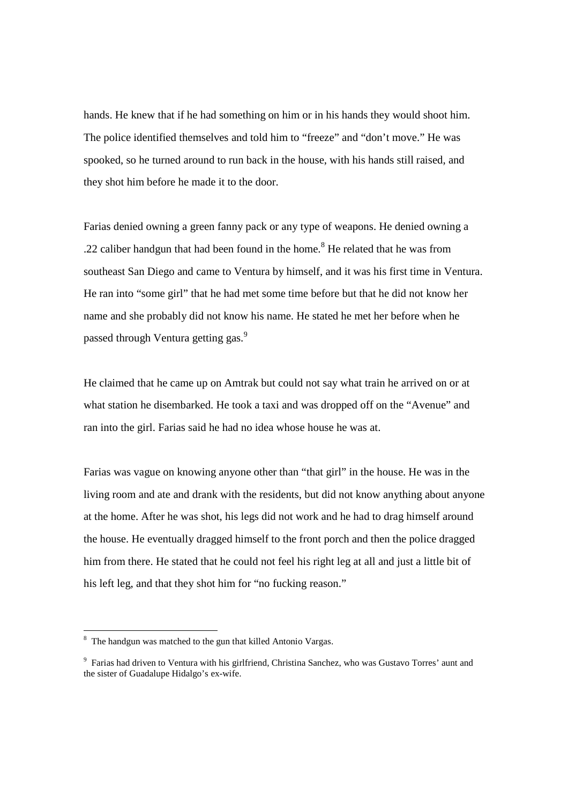hands. He knew that if he had something on him or in his hands they would shoot him. The police identified themselves and told him to "freeze" and "don't move." He was spooked, so he turned around to run back in the house, with his hands still raised, and they shot him before he made it to the door.

Farias denied owning a green fanny pack or any type of weapons. He denied owning a .22 caliber handgun that had been found in the home.<sup>8</sup> He related that he was from southeast San Diego and came to Ventura by himself, and it was his first time in Ventura. He ran into "some girl" that he had met some time before but that he did not know her name and she probably did not know his name. He stated he met her before when he passed through Ventura getting gas.<sup>9</sup>

He claimed that he came up on Amtrak but could not say what train he arrived on or at what station he disembarked. He took a taxi and was dropped off on the "Avenue" and ran into the girl. Farias said he had no idea whose house he was at.

Farias was vague on knowing anyone other than "that girl" in the house. He was in the living room and ate and drank with the residents, but did not know anything about anyone at the home. After he was shot, his legs did not work and he had to drag himself around the house. He eventually dragged himself to the front porch and then the police dragged him from there. He stated that he could not feel his right leg at all and just a little bit of his left leg, and that they shot him for "no fucking reason."

<sup>&</sup>lt;sup>8</sup> The handgun was matched to the gun that killed Antonio Vargas.

<sup>&</sup>lt;sup>9</sup> Farias had driven to Ventura with his girlfriend, Christina Sanchez, who was Gustavo Torres' aunt and the sister of Guadalupe Hidalgo's ex-wife.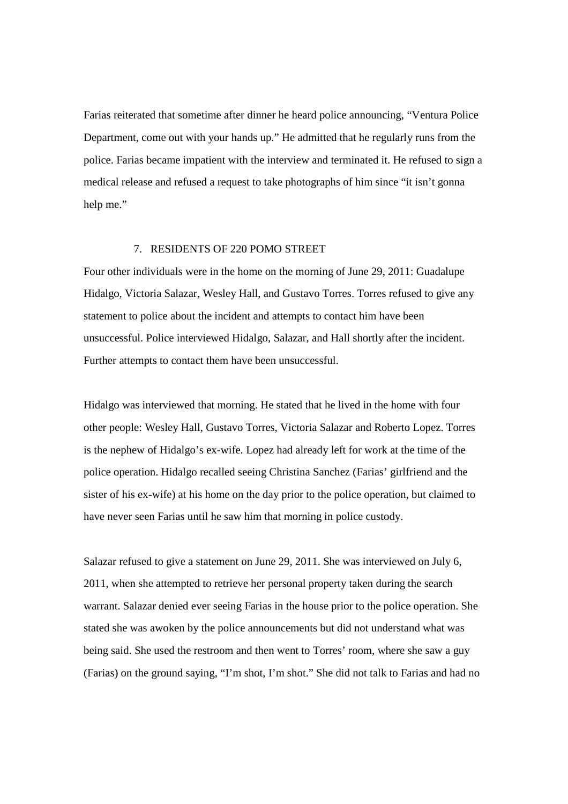Farias reiterated that sometime after dinner he heard police announcing, "Ventura Police Department, come out with your hands up." He admitted that he regularly runs from the police. Farias became impatient with the interview and terminated it. He refused to sign a medical release and refused a request to take photographs of him since "it isn't gonna help me."

#### 7. RESIDENTS OF 220 POMO STREET

Four other individuals were in the home on the morning of June 29, 2011: Guadalupe Hidalgo, Victoria Salazar, Wesley Hall, and Gustavo Torres. Torres refused to give any statement to police about the incident and attempts to contact him have been unsuccessful. Police interviewed Hidalgo, Salazar, and Hall shortly after the incident. Further attempts to contact them have been unsuccessful.

Hidalgo was interviewed that morning. He stated that he lived in the home with four other people: Wesley Hall, Gustavo Torres, Victoria Salazar and Roberto Lopez. Torres is the nephew of Hidalgo's ex-wife. Lopez had already left for work at the time of the police operation. Hidalgo recalled seeing Christina Sanchez (Farias' girlfriend and the sister of his ex-wife) at his home on the day prior to the police operation, but claimed to have never seen Farias until he saw him that morning in police custody.

Salazar refused to give a statement on June 29, 2011. She was interviewed on July 6, 2011, when she attempted to retrieve her personal property taken during the search warrant. Salazar denied ever seeing Farias in the house prior to the police operation. She stated she was awoken by the police announcements but did not understand what was being said. She used the restroom and then went to Torres' room, where she saw a guy (Farias) on the ground saying, "I'm shot, I'm shot." She did not talk to Farias and had no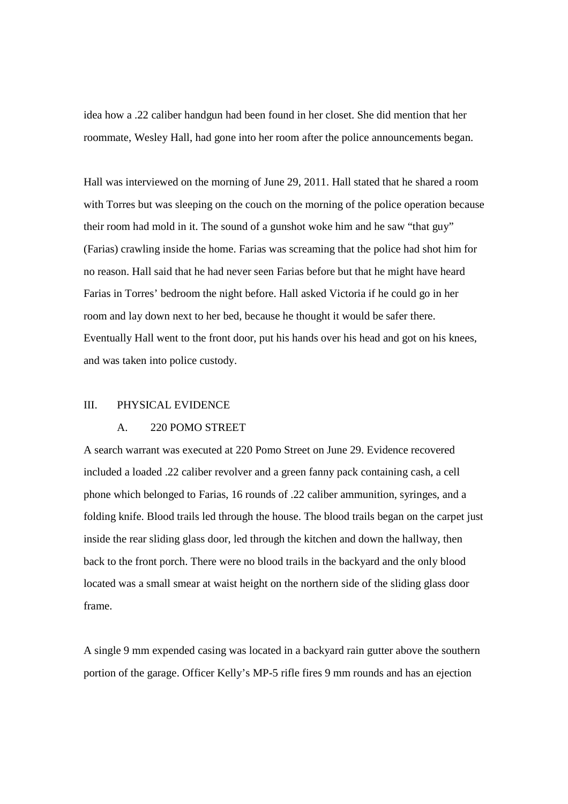idea how a .22 caliber handgun had been found in her closet. She did mention that her roommate, Wesley Hall, had gone into her room after the police announcements began.

Hall was interviewed on the morning of June 29, 2011. Hall stated that he shared a room with Torres but was sleeping on the couch on the morning of the police operation because their room had mold in it. The sound of a gunshot woke him and he saw "that guy" (Farias) crawling inside the home. Farias was screaming that the police had shot him for no reason. Hall said that he had never seen Farias before but that he might have heard Farias in Torres' bedroom the night before. Hall asked Victoria if he could go in her room and lay down next to her bed, because he thought it would be safer there. Eventually Hall went to the front door, put his hands over his head and got on his knees, and was taken into police custody.

#### III. PHYSICAL EVIDENCE

#### A. 220 POMO STREET

A search warrant was executed at 220 Pomo Street on June 29. Evidence recovered included a loaded .22 caliber revolver and a green fanny pack containing cash, a cell phone which belonged to Farias, 16 rounds of .22 caliber ammunition, syringes, and a folding knife. Blood trails led through the house. The blood trails began on the carpet just inside the rear sliding glass door, led through the kitchen and down the hallway, then back to the front porch. There were no blood trails in the backyard and the only blood located was a small smear at waist height on the northern side of the sliding glass door frame.

A single 9 mm expended casing was located in a backyard rain gutter above the southern portion of the garage. Officer Kelly's MP-5 rifle fires 9 mm rounds and has an ejection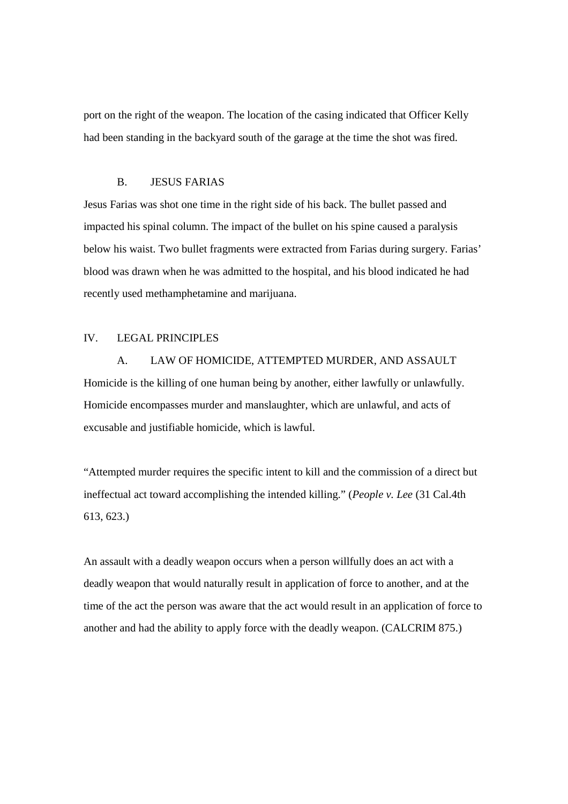port on the right of the weapon. The location of the casing indicated that Officer Kelly had been standing in the backyard south of the garage at the time the shot was fired.

### B. JESUS FARIAS

Jesus Farias was shot one time in the right side of his back. The bullet passed and impacted his spinal column. The impact of the bullet on his spine caused a paralysis below his waist. Two bullet fragments were extracted from Farias during surgery. Farias' blood was drawn when he was admitted to the hospital, and his blood indicated he had recently used methamphetamine and marijuana.

#### IV. LEGAL PRINCIPLES

A. LAW OF HOMICIDE, ATTEMPTED MURDER, AND ASSAULT Homicide is the killing of one human being by another, either lawfully or unlawfully. Homicide encompasses murder and manslaughter, which are unlawful, and acts of excusable and justifiable homicide, which is lawful.

"Attempted murder requires the specific intent to kill and the commission of a direct but ineffectual act toward accomplishing the intended killing." (*People v. Lee* (31 Cal.4th 613, 623.)

An assault with a deadly weapon occurs when a person willfully does an act with a deadly weapon that would naturally result in application of force to another, and at the time of the act the person was aware that the act would result in an application of force to another and had the ability to apply force with the deadly weapon. (CALCRIM 875.)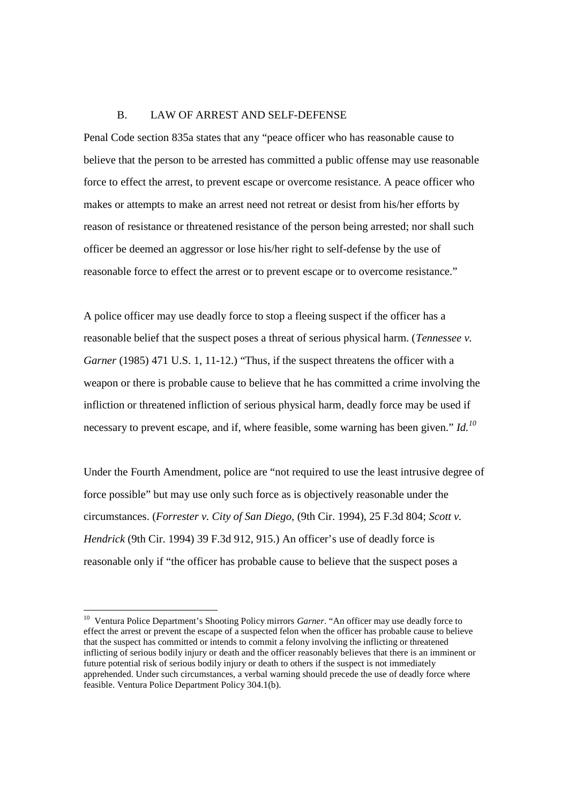#### B. LAW OF ARREST AND SELF-DEFENSE

Penal Code section 835a states that any "peace officer who has reasonable cause to believe that the person to be arrested has committed a public offense may use reasonable force to effect the arrest, to prevent escape or overcome resistance. A peace officer who makes or attempts to make an arrest need not retreat or desist from his/her efforts by reason of resistance or threatened resistance of the person being arrested; nor shall such officer be deemed an aggressor or lose his/her right to self-defense by the use of reasonable force to effect the arrest or to prevent escape or to overcome resistance."

A police officer may use deadly force to stop a fleeing suspect if the officer has a reasonable belief that the suspect poses a threat of serious physical harm. (*Tennessee v. Garner* (1985) 471 U.S. 1, 11-12.) "Thus, if the suspect threatens the officer with a weapon or there is probable cause to believe that he has committed a crime involving the infliction or threatened infliction of serious physical harm, deadly force may be used if necessary to prevent escape, and if, where feasible, some warning has been given." *Id.<sup>10</sup>*

Under the Fourth Amendment, police are "not required to use the least intrusive degree of force possible" but may use only such force as is objectively reasonable under the circumstances. (*Forrester v. City of San Diego,* (9th Cir. 1994), 25 F.3d 804; *Scott v. Hendrick* (9th Cir. 1994) 39 F.3d 912, 915.) An officer's use of deadly force is reasonable only if "the officer has probable cause to believe that the suspect poses a

<sup>&</sup>lt;sup>10</sup> Ventura Police Department's Shooting Policy mirrors *Garner*. "An officer may use deadly force to effect the arrest or prevent the escape of a suspected felon when the officer has probable cause to believe that the suspect has committed or intends to commit a felony involving the inflicting or threatened inflicting of serious bodily injury or death and the officer reasonably believes that there is an imminent or future potential risk of serious bodily injury or death to others if the suspect is not immediately apprehended. Under such circumstances, a verbal warning should precede the use of deadly force where feasible. Ventura Police Department Policy 304.1(b).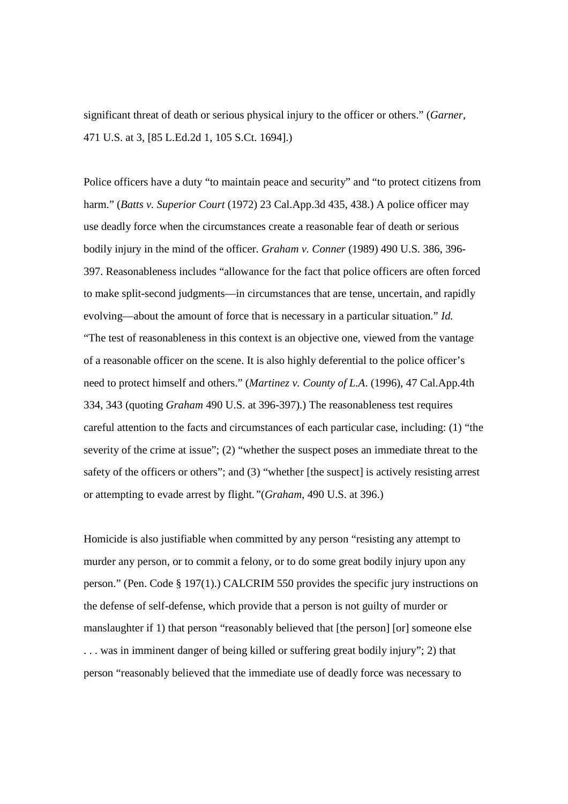significant threat of death or serious physical injury to the officer or others." (*Garner*, 471 U.S. at 3, [85 L.Ed.2d 1, 105 S.Ct. 1694].)

Police officers have a duty "to maintain peace and security" and "to protect citizens from harm." (*Batts v. Superior Court* (1972) 23 Cal.App.3d 435, 438.) A police officer may use deadly force when the circumstances create a reasonable fear of death or serious bodily injury in the mind of the officer. *Graham v. Conner* (1989) 490 U.S. 386, 396- 397. Reasonableness includes "allowance for the fact that police officers are often forced to make split-second judgments—in circumstances that are tense, uncertain, and rapidly evolving—about the amount of force that is necessary in a particular situation." *Id.* "The test of reasonableness in this context is an objective one, viewed from the vantage of a reasonable officer on the scene. It is also highly deferential to the police officer's need to protect himself and others." (*Martinez v. County of L.A*. (1996), 47 Cal.App.4th 334, 343 (quoting *Graham* 490 U.S. at 396-397).) The reasonableness test requires careful attention to the facts and circumstances of each particular case, including: (1) "the severity of the crime at issue"; (2) "whether the suspect poses an immediate threat to the safety of the officers or others"; and (3) "whether [the suspect] is actively resisting arrest or attempting to evade arrest by flight*."*(*Graham*, 490 U.S. at 396.)

Homicide is also justifiable when committed by any person "resisting any attempt to murder any person, or to commit a felony, or to do some great bodily injury upon any person." (Pen. Code § 197(1).) CALCRIM 550 provides the specific jury instructions on the defense of self-defense, which provide that a person is not guilty of murder or manslaughter if 1) that person "reasonably believed that [the person] [or] someone else . . . was in imminent danger of being killed or suffering great bodily injury"; 2) that person "reasonably believed that the immediate use of deadly force was necessary to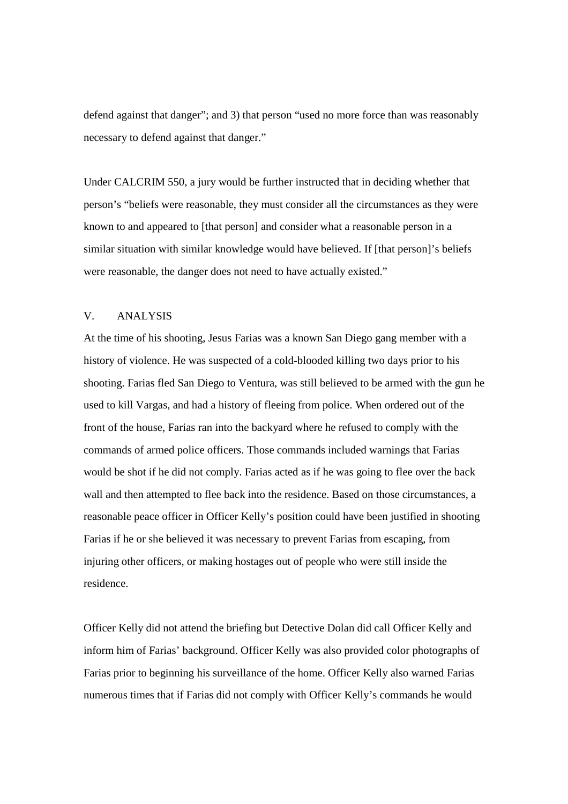defend against that danger"; and 3) that person "used no more force than was reasonably necessary to defend against that danger."

Under CALCRIM 550, a jury would be further instructed that in deciding whether that person's "beliefs were reasonable, they must consider all the circumstances as they were known to and appeared to [that person] and consider what a reasonable person in a similar situation with similar knowledge would have believed. If [that person]'s beliefs were reasonable, the danger does not need to have actually existed."

### V. ANALYSIS

At the time of his shooting, Jesus Farias was a known San Diego gang member with a history of violence. He was suspected of a cold-blooded killing two days prior to his shooting. Farias fled San Diego to Ventura, was still believed to be armed with the gun he used to kill Vargas, and had a history of fleeing from police. When ordered out of the front of the house, Farias ran into the backyard where he refused to comply with the commands of armed police officers. Those commands included warnings that Farias would be shot if he did not comply. Farias acted as if he was going to flee over the back wall and then attempted to flee back into the residence. Based on those circumstances, a reasonable peace officer in Officer Kelly's position could have been justified in shooting Farias if he or she believed it was necessary to prevent Farias from escaping, from injuring other officers, or making hostages out of people who were still inside the residence.

Officer Kelly did not attend the briefing but Detective Dolan did call Officer Kelly and inform him of Farias' background. Officer Kelly was also provided color photographs of Farias prior to beginning his surveillance of the home. Officer Kelly also warned Farias numerous times that if Farias did not comply with Officer Kelly's commands he would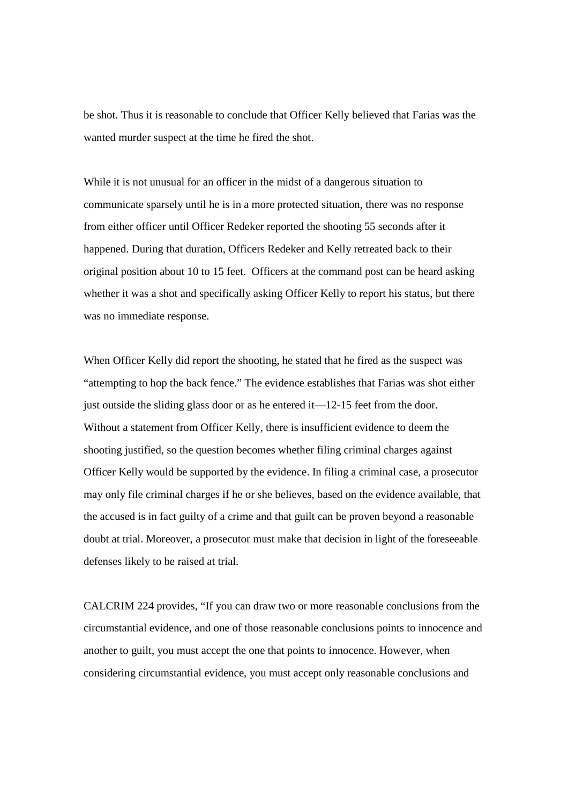be shot. Thus it is reasonable to conclude that Officer Kelly believed that Farias was the wanted murder suspect at the time he fired the shot.

While it is not unusual for an officer in the midst of a dangerous situation to communicate sparsely until he is in a more protected situation, there was no response from either officer until Officer Redeker reported the shooting 55 seconds after it happened. During that duration, Officers Redeker and Kelly retreated back to their original position about 10 to 15 feet. Officers at the command post can be heard asking whether it was a shot and specifically asking Officer Kelly to report his status, but there was no immediate response.

When Officer Kelly did report the shooting, he stated that he fired as the suspect was "attempting to hop the back fence." The evidence establishes that Farias was shot either just outside the sliding glass door or as he entered it—12-15 feet from the door. Without a statement from Officer Kelly, there is insufficient evidence to deem the shooting justified, so the question becomes whether filing criminal charges against Officer Kelly would be supported by the evidence. In filing a criminal case, a prosecutor may only file criminal charges if he or she believes, based on the evidence available, that the accused is in fact guilty of a crime and that guilt can be proven beyond a reasonable doubt at trial. Moreover, a prosecutor must make that decision in light of the foreseeable defenses likely to be raised at trial.

CALCRIM 224 provides, "If you can draw two or more reasonable conclusions from the circumstantial evidence, and one of those reasonable conclusions points to innocence and another to guilt, you must accept the one that points to innocence. However, when considering circumstantial evidence, you must accept only reasonable conclusions and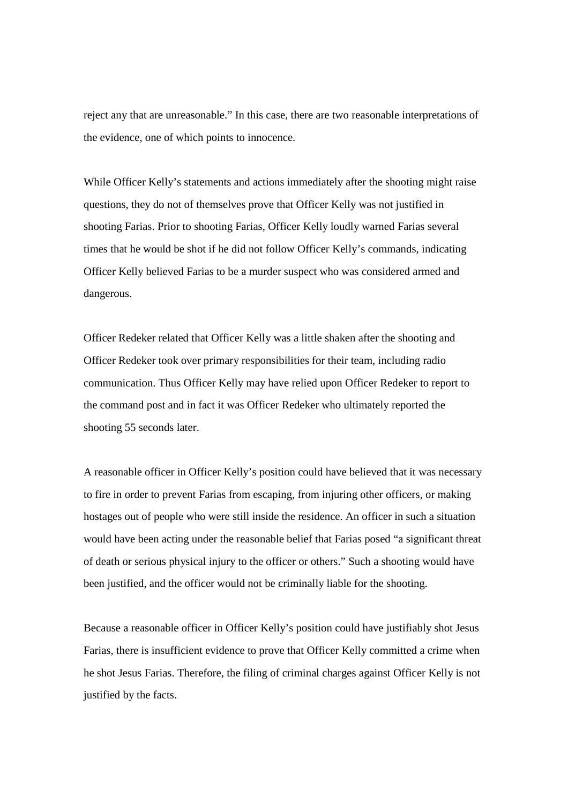reject any that are unreasonable." In this case, there are two reasonable interpretations of the evidence, one of which points to innocence.

While Officer Kelly's statements and actions immediately after the shooting might raise questions, they do not of themselves prove that Officer Kelly was not justified in shooting Farias. Prior to shooting Farias, Officer Kelly loudly warned Farias several times that he would be shot if he did not follow Officer Kelly's commands, indicating Officer Kelly believed Farias to be a murder suspect who was considered armed and dangerous.

Officer Redeker related that Officer Kelly was a little shaken after the shooting and Officer Redeker took over primary responsibilities for their team, including radio communication. Thus Officer Kelly may have relied upon Officer Redeker to report to the command post and in fact it was Officer Redeker who ultimately reported the shooting 55 seconds later.

A reasonable officer in Officer Kelly's position could have believed that it was necessary to fire in order to prevent Farias from escaping, from injuring other officers, or making hostages out of people who were still inside the residence. An officer in such a situation would have been acting under the reasonable belief that Farias posed "a significant threat of death or serious physical injury to the officer or others." Such a shooting would have been justified, and the officer would not be criminally liable for the shooting.

Because a reasonable officer in Officer Kelly's position could have justifiably shot Jesus Farias, there is insufficient evidence to prove that Officer Kelly committed a crime when he shot Jesus Farias. Therefore, the filing of criminal charges against Officer Kelly is not justified by the facts.